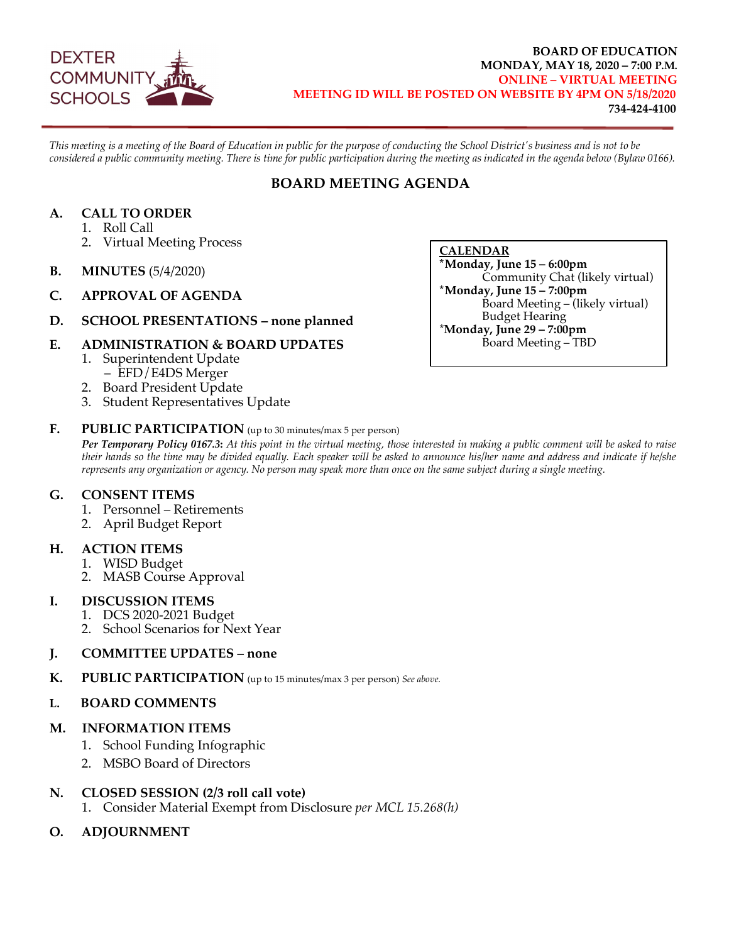

#### **BOARD OF EDUCATION MONDAY, MAY 18, 2020 – 7:00 P.M. ONLINE – VIRTUAL MEETING MEETING ID WILL BE POSTED ON WEBSITE BY 4PM ON 5/18/2020 734-424-4100**

*This meeting is a meeting of the Board of Education in public for the purpose of conducting the School District's business and is not to be considered a public community meeting. There is time for public participation during the meeting as indicated in the agenda below (Bylaw 0166).*

## **BOARD MEETING AGENDA**

## **A. CALL TO ORDER**

- 1. Roll Call
- 2. Virtual Meeting Process
- **B. MINUTES** (5/4/2020)
- **C. APPROVAL OF AGENDA**
- **D. SCHOOL PRESENTATIONS – none planned**

### **E. ADMINISTRATION & BOARD UPDATES**

- 1. Superintendent Update
	- EFD/E4DS Merger
- 2. Board President Update
- 3. Student Representatives Update

### **F. PUBLIC PARTICIPATION** (up to 30 minutes/max 5 per person)

*Per Temporary Policy 0167.3***:** *At this point in the virtual meeting, those interested in making a public comment will be asked to raise their hands so the time may be divided equally. Each speaker will be asked to announce his/her name and address and indicate if he/she represents any organization or agency. No person may speak more than once on the same subject during a single meeting.*

### **G. CONSENT ITEMS**

- 1. Personnel Retirements
- 2. April Budget Report

### **H. ACTION ITEMS**

- 1. WISD Budget
- 2. MASB Course Approval

#### **I. DISCUSSION ITEMS**

- 1. DCS 2020-2021 Budget
- **2. School Scenarios for Next Year**

### **J. COMMITTEE UPDATES – none**

**K. PUBLIC PARTICIPATION** (up to 15 minutes/max 3 per person) *See above.*

#### **L. BOARD COMMENTS**

### **M. INFORMATION ITEMS**

- 1. School Funding Infographic
- 2. MSBO Board of Directors

### **N. CLOSED SESSION (2/3 roll call vote)**

- 1. Consider Material Exempt from Disclosure *per MCL 15.268(h)*
- **O. ADJOURNMENT**

**CALENDAR \*Monday, June 15 – 6:00pm** Community Chat (likely virtual) **\*Monday, June 15 – 7:00pm** Board Meeting – (likely virtual) Budget Hearing \***Monday, June 29 – 7:00pm** Board Meeting – TBD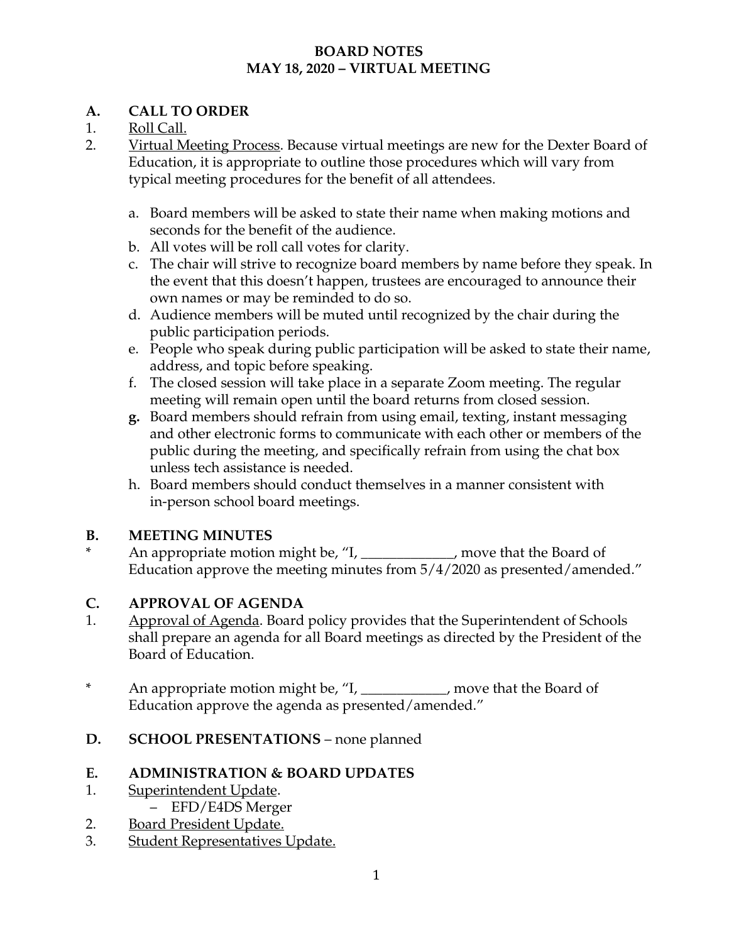## **BOARD NOTES MAY 18, 2020 – VIRTUAL MEETING**

# **A. CALL TO ORDER**

# 1. Roll Call.

- 2. Virtual Meeting Process. Because virtual meetings are new for the Dexter Board of Education, it is appropriate to outline those procedures which will vary from typical meeting procedures for the benefit of all attendees.
	- a. Board members will be asked to state their name when making motions and seconds for the benefit of the audience.
	- b. All votes will be roll call votes for clarity.
	- c. The chair will strive to recognize board members by name before they speak. In the event that this doesn't happen, trustees are encouraged to announce their own names or may be reminded to do so.
	- d. Audience members will be muted until recognized by the chair during the public participation periods.
	- e. People who speak during public participation will be asked to state their name, address, and topic before speaking.
	- f. The closed session will take place in a separate Zoom meeting. The regular meeting will remain open until the board returns from closed session.
	- **g.** Board members should refrain from using email, texting, instant messaging and other electronic forms to communicate with each other or members of the public during the meeting, and specifically refrain from using the chat box unless tech assistance is needed.
	- h. Board members should conduct themselves in a manner consistent with in-person school board meetings.

# **B. MEETING MINUTES**

An appropriate motion might be, "I, \_\_\_\_\_\_\_\_\_\_\_, move that the Board of Education approve the meeting minutes from 5/4/2020 as presented/amended."

# **C. APPROVAL OF AGENDA**

- 1. Approval of Agenda. Board policy provides that the Superintendent of Schools shall prepare an agenda for all Board meetings as directed by the President of the Board of Education.
- \* An appropriate motion might be, "I, \_\_\_\_\_\_\_\_\_\_\_\_, move that the Board of Education approve the agenda as presented/amended."
- **D. SCHOOL PRESENTATIONS** none planned

# **E. ADMINISTRATION & BOARD UPDATES**

- 1. Superintendent Update.
	- EFD/E4DS Merger
- 2. Board President Update.
- 3. Student Representatives Update.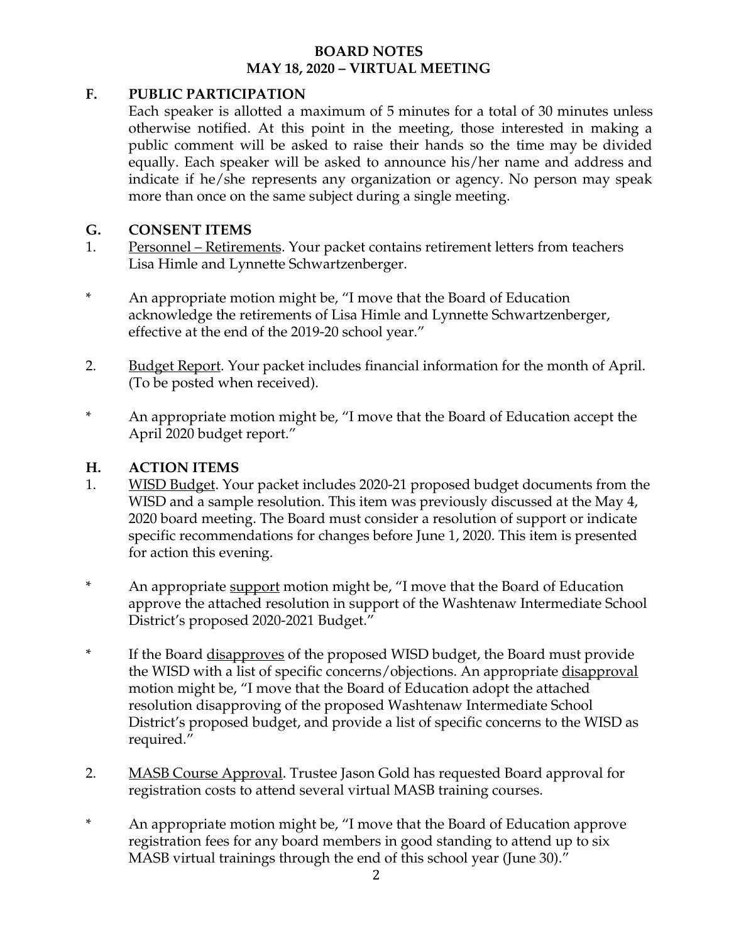## **BOARD NOTES MAY 18, 2020 – VIRTUAL MEETING**

## **F. PUBLIC PARTICIPATION**

Each speaker is allotted a maximum of 5 minutes for a total of 30 minutes unless otherwise notified. At this point in the meeting, those interested in making a public comment will be asked to raise their hands so the time may be divided equally. Each speaker will be asked to announce his/her name and address and indicate if he/she represents any organization or agency. No person may speak more than once on the same subject during a single meeting.

## **G. CONSENT ITEMS**

- 1. Personnel Retirements. Your packet contains retirement letters from teachers Lisa Himle and Lynnette Schwartzenberger.
- \* An appropriate motion might be, "I move that the Board of Education acknowledge the retirements of Lisa Himle and Lynnette Schwartzenberger, effective at the end of the 2019-20 school year."
- 2. Budget Report. Your packet includes financial information for the month of April. (To be posted when received).
- \* An appropriate motion might be, "I move that the Board of Education accept the April 2020 budget report."

## **H. ACTION ITEMS**

- 1. WISD Budget. Your packet includes 2020-21 proposed budget documents from the WISD and a sample resolution. This item was previously discussed at the May 4, 2020 board meeting. The Board must consider a resolution of support or indicate specific recommendations for changes before June 1, 2020. This item is presented for action this evening.
- <sup>\*</sup> An appropriate support motion might be, "I move that the Board of Education approve the attached resolution in support of the Washtenaw Intermediate School District's proposed 2020-2021 Budget."
- \* If the Board disapproves of the proposed WISD budget, the Board must provide the WISD with a list of specific concerns/objections. An appropriate disapproval motion might be, "I move that the Board of Education adopt the attached resolution disapproving of the proposed Washtenaw Intermediate School District's proposed budget, and provide a list of specific concerns to the WISD as required."
- 2. MASB Course Approval. Trustee Jason Gold has requested Board approval for registration costs to attend several virtual MASB training courses.
- \* An appropriate motion might be, "I move that the Board of Education approve registration fees for any board members in good standing to attend up to six MASB virtual trainings through the end of this school year (June 30)."